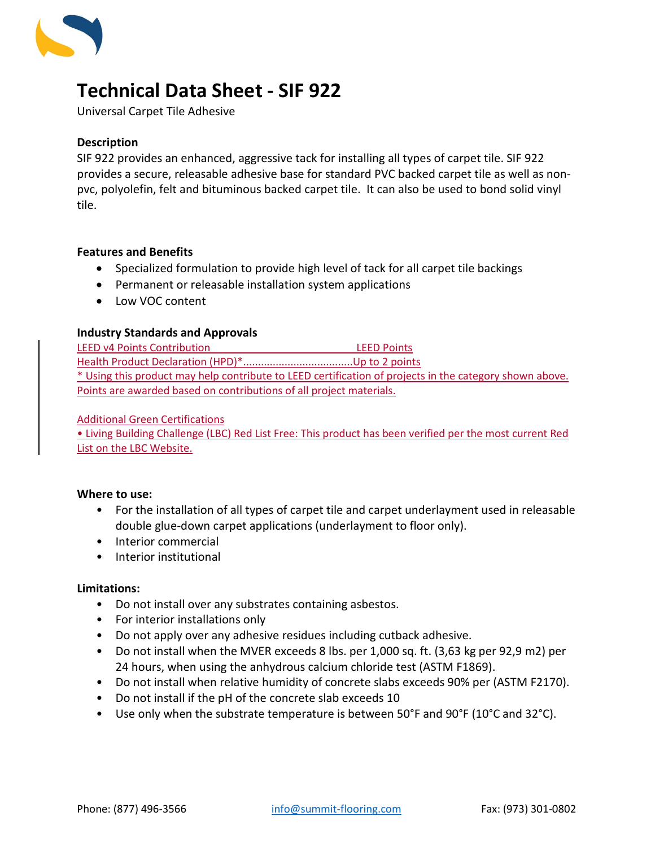

# **Technical Data Sheet - SIF 922**

Universal Carpet Tile Adhesive

## **Description**

SIF 922 provides an enhanced, aggressive tack for installing all types of carpet tile. SIF 922 provides a secure, releasable adhesive base for standard PVC backed carpet tile as well as nonpvc, polyolefin, felt and bituminous backed carpet tile. It can also be used to bond solid vinyl tile.

## **Features and Benefits**

- Specialized formulation to provide high level of tack for all carpet tile backings
- Permanent or releasable installation system applications
- Low VOC content

## **Industry Standards and Approvals**

LEED v4 Points Contribution LEED Points Health Product Declaration (HPD)\*.....................................Up to 2 points \* Using this product may help contribute to LEED certification of projects in the category shown above. Points are awarded based on contributions of all project materials.

## Additional Green Certifications

• Living Building Challenge (LBC) Red List Free: This product has been verified per the most current Red List on the LBC Website.

#### **Where to use:**

- For the installation of all types of carpet tile and carpet underlayment used in releasable double glue-down carpet applications (underlayment to floor only).
- Interior commercial
- Interior institutional

#### **Limitations:**

- Do not install over any substrates containing asbestos.
- For interior installations only
- Do not apply over any adhesive residues including cutback adhesive.
- Do not install when the MVER exceeds 8 lbs. per 1,000 sq. ft. (3,63 kg per 92,9 m2) per 24 hours, when using the anhydrous calcium chloride test (ASTM F1869).
- Do not install when relative humidity of concrete slabs exceeds 90% per (ASTM F2170).
- Do not install if the pH of the concrete slab exceeds 10
- Use only when the substrate temperature is between 50°F and 90°F (10°C and 32°C).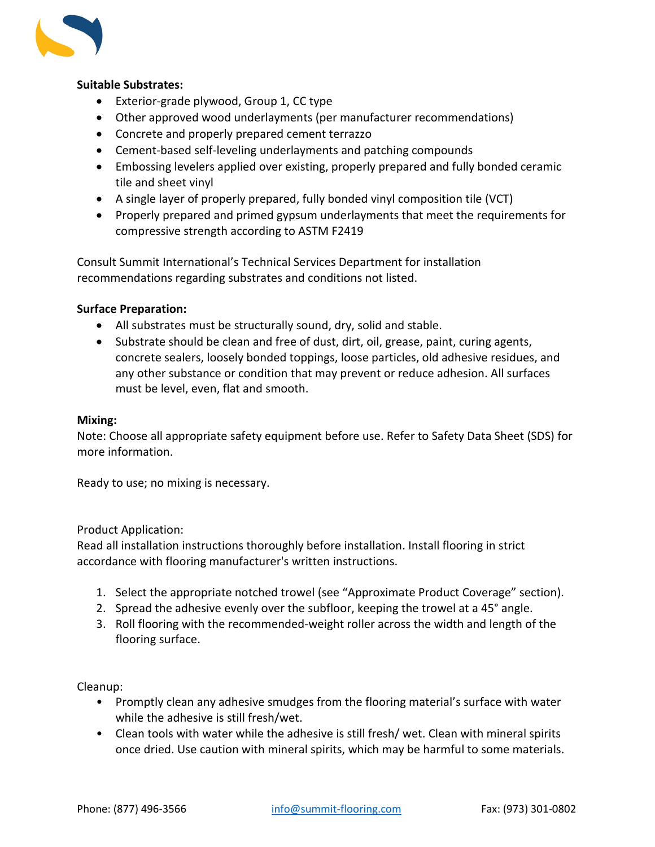

# **Suitable Substrates:**

- Exterior-grade plywood, Group 1, CC type
- Other approved wood underlayments (per manufacturer recommendations)
- Concrete and properly prepared cement terrazzo
- Cement-based self-leveling underlayments and patching compounds
- Embossing levelers applied over existing, properly prepared and fully bonded ceramic tile and sheet vinyl
- A single layer of properly prepared, fully bonded vinyl composition tile (VCT)
- Properly prepared and primed gypsum underlayments that meet the requirements for compressive strength according to ASTM F2419

Consult Summit International's Technical Services Department for installation recommendations regarding substrates and conditions not listed.

## **Surface Preparation:**

- All substrates must be structurally sound, dry, solid and stable.
- Substrate should be clean and free of dust, dirt, oil, grease, paint, curing agents, concrete sealers, loosely bonded toppings, loose particles, old adhesive residues, and any other substance or condition that may prevent or reduce adhesion. All surfaces must be level, even, flat and smooth.

#### **Mixing:**

Note: Choose all appropriate safety equipment before use. Refer to Safety Data Sheet (SDS) for more information.

Ready to use; no mixing is necessary.

#### Product Application:

Read all installation instructions thoroughly before installation. Install flooring in strict accordance with flooring manufacturer's written instructions.

- 1. Select the appropriate notched trowel (see "Approximate Product Coverage" section).
- 2. Spread the adhesive evenly over the subfloor, keeping the trowel at a 45° angle.
- 3. Roll flooring with the recommended-weight roller across the width and length of the flooring surface.

#### Cleanup:

- Promptly clean any adhesive smudges from the flooring material's surface with water while the adhesive is still fresh/wet.
- Clean tools with water while the adhesive is still fresh/ wet. Clean with mineral spirits once dried. Use caution with mineral spirits, which may be harmful to some materials.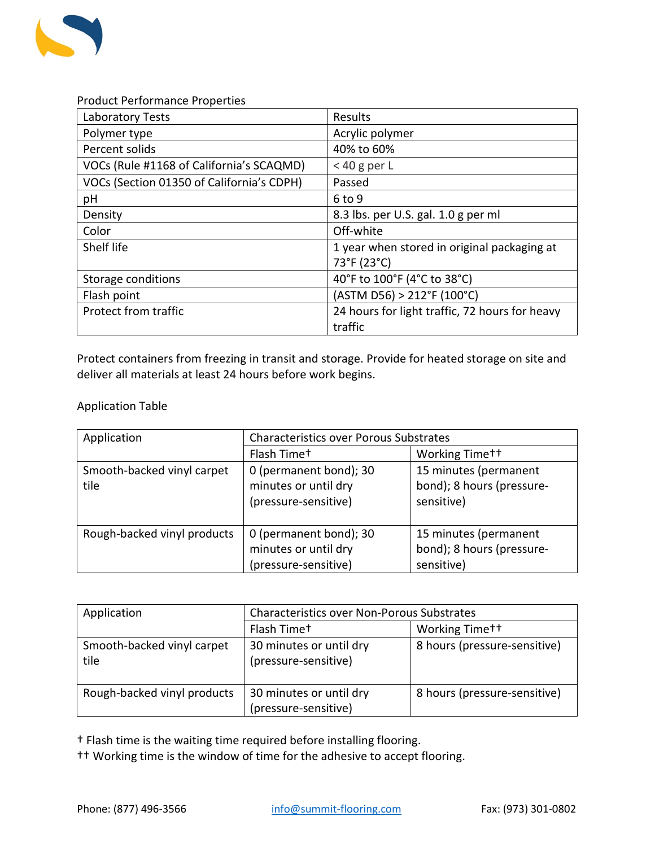

Product Performance Properties

| Laboratory Tests                          | Results                                        |
|-------------------------------------------|------------------------------------------------|
| Polymer type                              | Acrylic polymer                                |
| Percent solids                            | 40% to 60%                                     |
| VOCs (Rule #1168 of California's SCAQMD)  | $<$ 40 g per L                                 |
| VOCs (Section 01350 of California's CDPH) | Passed                                         |
| pH                                        | $6$ to 9                                       |
| Density                                   | 8.3 lbs. per U.S. gal. 1.0 g per ml            |
| Color                                     | Off-white                                      |
| Shelf life                                | 1 year when stored in original packaging at    |
|                                           | 73°F (23°C)                                    |
| Storage conditions                        | 40°F to 100°F (4°C to 38°C)                    |
| Flash point                               | (ASTM D56) > 212°F (100°C)                     |
| Protect from traffic                      | 24 hours for light traffic, 72 hours for heavy |
|                                           | traffic                                        |

Protect containers from freezing in transit and storage. Provide for heated storage on site and deliver all materials at least 24 hours before work begins.

Application Table

| Application                        | <b>Characteristics over Porous Substrates</b>                          |                                                                  |  |
|------------------------------------|------------------------------------------------------------------------|------------------------------------------------------------------|--|
|                                    | Flash Timet                                                            | Working Time <sup>++</sup>                                       |  |
| Smooth-backed vinyl carpet<br>tile | 0 (permanent bond); 30<br>minutes or until dry<br>(pressure-sensitive) | 15 minutes (permanent<br>bond); 8 hours (pressure-<br>sensitive) |  |
| Rough-backed vinyl products        | 0 (permanent bond); 30<br>minutes or until dry<br>(pressure-sensitive) | 15 minutes (permanent<br>bond); 8 hours (pressure-<br>sensitive) |  |

| Application                        | <b>Characteristics over Non-Porous Substrates</b> |                              |  |
|------------------------------------|---------------------------------------------------|------------------------------|--|
|                                    | Flash Time <sup>+</sup>                           | Working Time <sup>++</sup>   |  |
| Smooth-backed vinyl carpet<br>tile | 30 minutes or until dry<br>(pressure-sensitive)   | 8 hours (pressure-sensitive) |  |
| Rough-backed vinyl products        | 30 minutes or until dry<br>(pressure-sensitive)   | 8 hours (pressure-sensitive) |  |

† Flash time is the waiting time required before installing flooring.

†† Working time is the window of time for the adhesive to accept flooring.